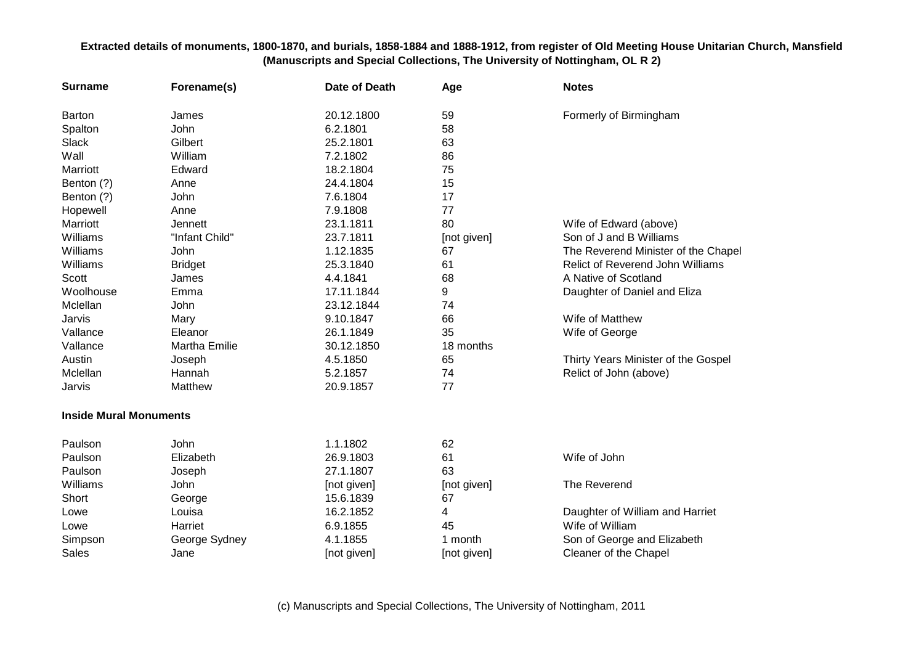| <b>Surname</b>                | Forename(s)          | Date of Death | Age         | <b>Notes</b>                            |
|-------------------------------|----------------------|---------------|-------------|-----------------------------------------|
| Barton                        | James                | 20.12.1800    | 59          | Formerly of Birmingham                  |
| Spalton                       | John                 | 6.2.1801      | 58          |                                         |
| Slack                         | Gilbert              | 25.2.1801     | 63          |                                         |
| Wall                          | William              | 7.2.1802      | 86          |                                         |
| Marriott                      | Edward               | 18.2.1804     | 75          |                                         |
| Benton (?)                    | Anne                 | 24.4.1804     | 15          |                                         |
| Benton (?)                    | John                 | 7.6.1804      | 17          |                                         |
| Hopewell                      | Anne                 | 7.9.1808      | 77          |                                         |
| Marriott                      | <b>Jennett</b>       | 23.1.1811     | 80          | Wife of Edward (above)                  |
| Williams                      | "Infant Child"       | 23.7.1811     | [not given] | Son of J and B Williams                 |
| Williams                      | John                 | 1.12.1835     | 67          | The Reverend Minister of the Chapel     |
| Williams                      | <b>Bridget</b>       | 25.3.1840     | 61          | <b>Relict of Reverend John Williams</b> |
| Scott                         | James                | 4.4.1841      | 68          | A Native of Scotland                    |
| Woolhouse                     | Emma                 | 17.11.1844    | 9           | Daughter of Daniel and Eliza            |
| Mclellan                      | John                 | 23.12.1844    | 74          |                                         |
| Jarvis                        | Mary                 | 9.10.1847     | 66          | Wife of Matthew                         |
| Vallance                      | Eleanor              | 26.1.1849     | 35          | Wife of George                          |
| Vallance                      | <b>Martha Emilie</b> | 30.12.1850    | 18 months   |                                         |
| Austin                        | Joseph               | 4.5.1850      | 65          | Thirty Years Minister of the Gospel     |
| Mclellan                      | Hannah               | 5.2.1857      | 74          | Relict of John (above)                  |
| Jarvis                        | Matthew              | 20.9.1857     | 77          |                                         |
| <b>Inside Mural Monuments</b> |                      |               |             |                                         |
| Paulson                       | <b>John</b>          | 1.1.1802      | 62          |                                         |
| Paulson                       | Elizabeth            | 26.9.1803     | 61          | Wife of John                            |
| Paulson                       | Joseph               | 27.1.1807     | 63          |                                         |
| Williams                      | John                 | [not given]   | [not given] | The Reverend                            |
| Short                         | George               | 15.6.1839     | 67          |                                         |
| Lowe                          | Louisa               | 16.2.1852     | 4           | Daughter of William and Harriet         |
| Lowe                          | Harriet              | 6.9.1855      | 45          | Wife of William                         |
| Simpson                       | George Sydney        | 4.1.1855      | 1 month     | Son of George and Elizabeth             |
| <b>Sales</b>                  | Jane                 | [not given]   | [not given] | Cleaner of the Chapel                   |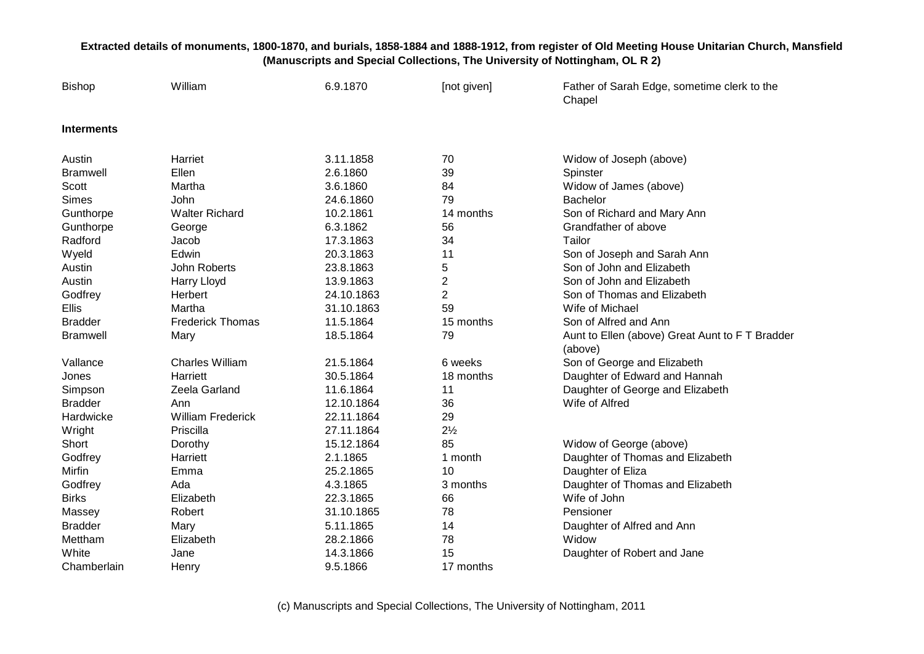| <b>Bishop</b>     | William                  | 6.9.1870   | [not given]    | Father of Sarah Edge, sometime clerk to the<br>Chapel      |
|-------------------|--------------------------|------------|----------------|------------------------------------------------------------|
| <b>Interments</b> |                          |            |                |                                                            |
| Austin            | Harriet                  | 3.11.1858  | 70             | Widow of Joseph (above)                                    |
| <b>Bramwell</b>   | Ellen                    | 2.6.1860   | 39             | Spinster                                                   |
| Scott             | Martha                   | 3.6.1860   | 84             | Widow of James (above)                                     |
| <b>Simes</b>      | John                     | 24.6.1860  | 79             | <b>Bachelor</b>                                            |
| Gunthorpe         | <b>Walter Richard</b>    | 10.2.1861  | 14 months      | Son of Richard and Mary Ann                                |
| Gunthorpe         | George                   | 6.3.1862   | 56             | Grandfather of above                                       |
| Radford           | Jacob                    | 17.3.1863  | 34             | Tailor                                                     |
| Wyeld             | Edwin                    | 20.3.1863  | 11             | Son of Joseph and Sarah Ann                                |
| Austin            | John Roberts             | 23.8.1863  | 5              | Son of John and Elizabeth                                  |
| Austin            | Harry Lloyd              | 13.9.1863  | $\overline{2}$ | Son of John and Elizabeth                                  |
| Godfrey           | Herbert                  | 24.10.1863 | $\overline{2}$ | Son of Thomas and Elizabeth                                |
| Ellis             | Martha                   | 31.10.1863 | 59             | Wife of Michael                                            |
| <b>Bradder</b>    | <b>Frederick Thomas</b>  | 11.5.1864  | 15 months      | Son of Alfred and Ann                                      |
| <b>Bramwell</b>   | Mary                     | 18.5.1864  | 79             | Aunt to Ellen (above) Great Aunt to F T Bradder<br>(above) |
| Vallance          | <b>Charles William</b>   | 21.5.1864  | 6 weeks        | Son of George and Elizabeth                                |
| Jones             | Harriett                 | 30.5.1864  | 18 months      | Daughter of Edward and Hannah                              |
| Simpson           | Zeela Garland            | 11.6.1864  | 11             | Daughter of George and Elizabeth                           |
| <b>Bradder</b>    | Ann                      | 12.10.1864 | 36             | Wife of Alfred                                             |
| Hardwicke         | <b>William Frederick</b> | 22.11.1864 | 29             |                                                            |
| Wright            | Priscilla                | 27.11.1864 | $2\frac{1}{2}$ |                                                            |
| Short             | Dorothy                  | 15.12.1864 | 85             | Widow of George (above)                                    |
| Godfrey           | Harriett                 | 2.1.1865   | 1 month        | Daughter of Thomas and Elizabeth                           |
| Mirfin            | Emma                     | 25.2.1865  | 10             | Daughter of Eliza                                          |
| Godfrey           | Ada                      | 4.3.1865   | 3 months       | Daughter of Thomas and Elizabeth                           |
| <b>Birks</b>      | Elizabeth                | 22.3.1865  | 66             | Wife of John                                               |
| Massey            | Robert                   | 31.10.1865 | 78             | Pensioner                                                  |
| <b>Bradder</b>    | Mary                     | 5.11.1865  | 14             | Daughter of Alfred and Ann                                 |
| Mettham           | Elizabeth                | 28.2.1866  | 78             | Widow                                                      |
| White             | Jane                     | 14.3.1866  | 15             | Daughter of Robert and Jane                                |
| Chamberlain       | Henry                    | 9.5.1866   | 17 months      |                                                            |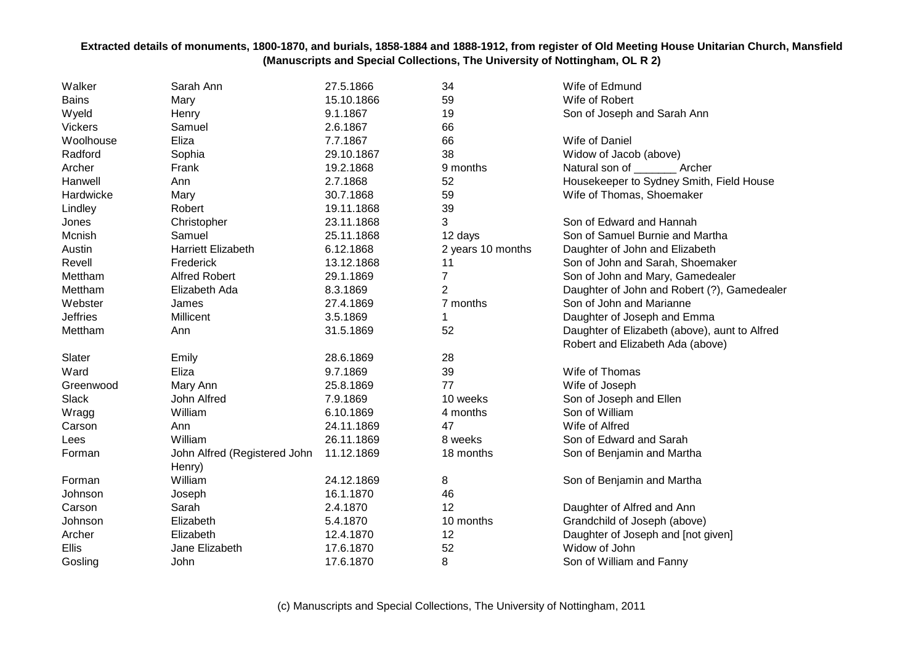| Walker          | Sarah Ann                    | 27.5.1866  | 34                | Wife of Edmund                                |
|-----------------|------------------------------|------------|-------------------|-----------------------------------------------|
| <b>Bains</b>    | Mary                         | 15.10.1866 | 59                | Wife of Robert                                |
| Wyeld           | Henry                        | 9.1.1867   | 19                | Son of Joseph and Sarah Ann                   |
| <b>Vickers</b>  | Samuel                       | 2.6.1867   | 66                |                                               |
| Woolhouse       | Eliza                        | 7.7.1867   | 66                | Wife of Daniel                                |
| Radford         | Sophia                       | 29.10.1867 | 38                | Widow of Jacob (above)                        |
| Archer          | Frank                        | 19.2.1868  | 9 months          | Natural son of _________ Archer               |
| Hanwell         | Ann                          | 2.7.1868   | 52                | Housekeeper to Sydney Smith, Field House      |
| Hardwicke       | Mary                         | 30.7.1868  | 59                | Wife of Thomas, Shoemaker                     |
| Lindley         | Robert                       | 19.11.1868 | 39                |                                               |
| Jones           | Christopher                  | 23.11.1868 | 3                 | Son of Edward and Hannah                      |
| Mcnish          | Samuel                       | 25.11.1868 | 12 days           | Son of Samuel Burnie and Martha               |
| Austin          | <b>Harriett Elizabeth</b>    | 6.12.1868  | 2 years 10 months | Daughter of John and Elizabeth                |
| Revell          | Frederick                    | 13.12.1868 | 11                | Son of John and Sarah, Shoemaker              |
| Mettham         | <b>Alfred Robert</b>         | 29.1.1869  | $\overline{7}$    | Son of John and Mary, Gamedealer              |
| Mettham         | Elizabeth Ada                | 8.3.1869   | $\overline{c}$    | Daughter of John and Robert (?), Gamedealer   |
| Webster         | James                        | 27.4.1869  | 7 months          | Son of John and Marianne                      |
| <b>Jeffries</b> | Millicent                    | 3.5.1869   | 1                 | Daughter of Joseph and Emma                   |
| Mettham         | Ann                          | 31.5.1869  | 52                | Daughter of Elizabeth (above), aunt to Alfred |
|                 |                              |            |                   | Robert and Elizabeth Ada (above)              |
| Slater          | Emily                        | 28.6.1869  | 28                |                                               |
| Ward            | Eliza                        | 9.7.1869   | 39                | Wife of Thomas                                |
| Greenwood       | Mary Ann                     | 25.8.1869  | 77                | Wife of Joseph                                |
| Slack           | John Alfred                  | 7.9.1869   | 10 weeks          | Son of Joseph and Ellen                       |
| Wragg           | William                      | 6.10.1869  | 4 months          | Son of William                                |
| Carson          | Ann                          | 24.11.1869 | 47                | Wife of Alfred                                |
| Lees            | William                      | 26.11.1869 | 8 weeks           | Son of Edward and Sarah                       |
| Forman          | John Alfred (Registered John | 11.12.1869 | 18 months         | Son of Benjamin and Martha                    |
|                 | Henry)                       |            |                   |                                               |
| Forman          | William                      | 24.12.1869 | 8                 | Son of Benjamin and Martha                    |
| Johnson         | Joseph                       | 16.1.1870  | 46                |                                               |
| Carson          | Sarah                        | 2.4.1870   | 12                | Daughter of Alfred and Ann                    |
| Johnson         | Elizabeth                    | 5.4.1870   | 10 months         | Grandchild of Joseph (above)                  |
| Archer          | Elizabeth                    | 12.4.1870  | 12                | Daughter of Joseph and [not given]            |
| Ellis           | Jane Elizabeth               | 17.6.1870  | 52                | Widow of John                                 |
| Gosling         | John                         | 17.6.1870  | 8                 | Son of William and Fanny                      |
|                 |                              |            |                   |                                               |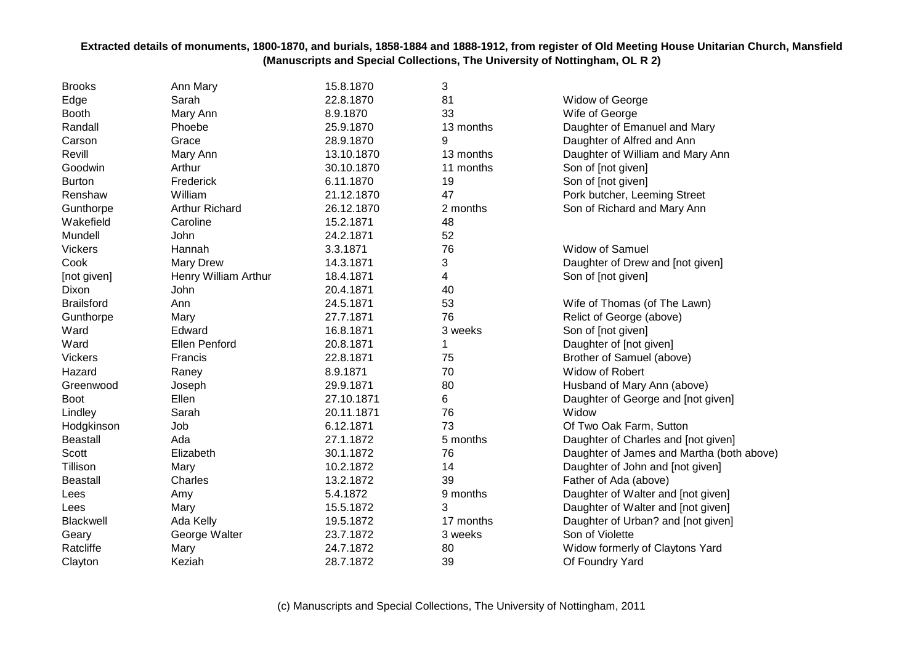| <b>Brooks</b>     | Ann Mary              | 15.8.1870  | 3         |                                           |
|-------------------|-----------------------|------------|-----------|-------------------------------------------|
| Edge              | Sarah                 | 22.8.1870  | 81        | Widow of George                           |
| <b>Booth</b>      | Mary Ann              | 8.9.1870   | 33        | Wife of George                            |
| Randall           | Phoebe                | 25.9.1870  | 13 months | Daughter of Emanuel and Mary              |
| Carson            | Grace                 | 28.9.1870  | 9         | Daughter of Alfred and Ann                |
| Revill            | Mary Ann              | 13.10.1870 | 13 months | Daughter of William and Mary Ann          |
| Goodwin           | Arthur                | 30.10.1870 | 11 months | Son of [not given]                        |
| <b>Burton</b>     | Frederick             | 6.11.1870  | 19        | Son of [not given]                        |
| Renshaw           | William               | 21.12.1870 | 47        | Pork butcher, Leeming Street              |
| Gunthorpe         | <b>Arthur Richard</b> | 26.12.1870 | 2 months  | Son of Richard and Mary Ann               |
| Wakefield         | Caroline              | 15.2.1871  | 48        |                                           |
| Mundell           | John                  | 24.2.1871  | 52        |                                           |
| <b>Vickers</b>    | Hannah                | 3.3.1871   | 76        | Widow of Samuel                           |
| Cook              | <b>Mary Drew</b>      | 14.3.1871  | 3         | Daughter of Drew and [not given]          |
| [not given]       | Henry William Arthur  | 18.4.1871  | 4         | Son of [not given]                        |
| Dixon             | John                  | 20.4.1871  | 40        |                                           |
| <b>Brailsford</b> | Ann                   | 24.5.1871  | 53        | Wife of Thomas (of The Lawn)              |
| Gunthorpe         | Mary                  | 27.7.1871  | 76        | Relict of George (above)                  |
| Ward              | Edward                | 16.8.1871  | 3 weeks   | Son of [not given]                        |
| Ward              | <b>Ellen Penford</b>  | 20.8.1871  | 1         | Daughter of [not given]                   |
| <b>Vickers</b>    | Francis               | 22.8.1871  | 75        | Brother of Samuel (above)                 |
| Hazard            | Raney                 | 8.9.1871   | 70        | <b>Widow of Robert</b>                    |
| Greenwood         | Joseph                | 29.9.1871  | 80        | Husband of Mary Ann (above)               |
| <b>Boot</b>       | Ellen                 | 27.10.1871 | 6         | Daughter of George and [not given]        |
| Lindley           | Sarah                 | 20.11.1871 | 76        | Widow                                     |
| Hodgkinson        | Job                   | 6.12.1871  | 73        | Of Two Oak Farm, Sutton                   |
| <b>Beastall</b>   | Ada                   | 27.1.1872  | 5 months  | Daughter of Charles and [not given]       |
| Scott             | Elizabeth             | 30.1.1872  | 76        | Daughter of James and Martha (both above) |
| Tillison          | Mary                  | 10.2.1872  | 14        | Daughter of John and [not given]          |
| <b>Beastall</b>   | Charles               | 13.2.1872  | 39        | Father of Ada (above)                     |
| Lees              | Amy                   | 5.4.1872   | 9 months  | Daughter of Walter and [not given]        |
| Lees              | Mary                  | 15.5.1872  | 3         | Daughter of Walter and [not given]        |
| Blackwell         | Ada Kelly             | 19.5.1872  | 17 months | Daughter of Urban? and [not given]        |
| Geary             | George Walter         | 23.7.1872  | 3 weeks   | Son of Violette                           |
| Ratcliffe         | Mary                  | 24.7.1872  | 80        | Widow formerly of Claytons Yard           |
| Clayton           | Keziah                | 28.7.1872  | 39        | Of Foundry Yard                           |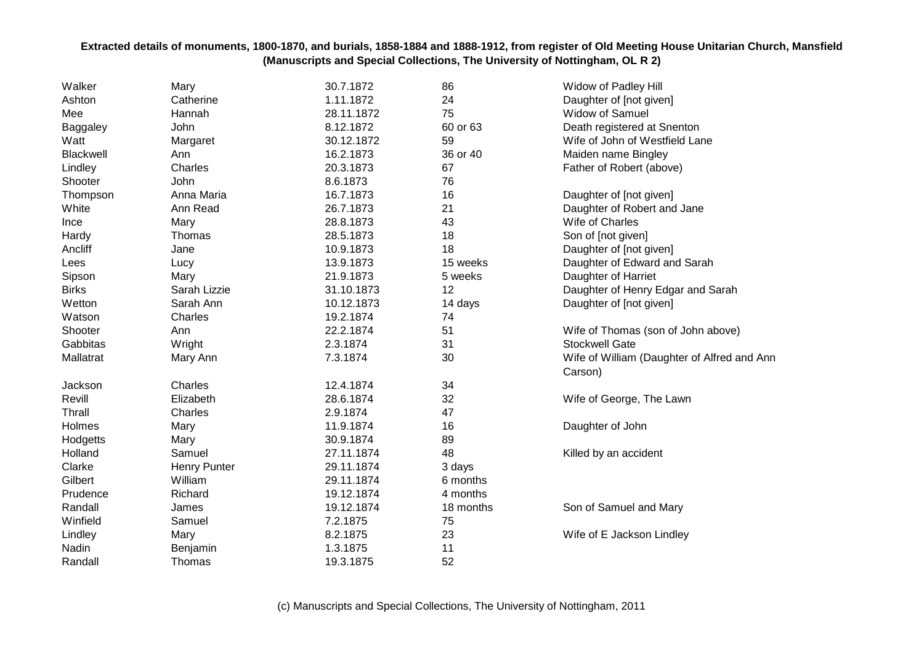| Walker           | Mary                | 30.7.1872  | 86        | Widow of Padley Hill                        |
|------------------|---------------------|------------|-----------|---------------------------------------------|
| Ashton           | Catherine           | 1.11.1872  | 24        | Daughter of [not given]                     |
| Mee              | Hannah              | 28.11.1872 | 75        | Widow of Samuel                             |
| <b>Baggaley</b>  | John                | 8.12.1872  | 60 or 63  | Death registered at Snenton                 |
| Watt             | Margaret            | 30.12.1872 | 59        | Wife of John of Westfield Lane              |
| <b>Blackwell</b> | Ann                 | 16.2.1873  | 36 or 40  | Maiden name Bingley                         |
| Lindley          | Charles             | 20.3.1873  | 67        | Father of Robert (above)                    |
| Shooter          | John                | 8.6.1873   | 76        |                                             |
| Thompson         | Anna Maria          | 16.7.1873  | 16        | Daughter of [not given]                     |
| White            | Ann Read            | 26.7.1873  | 21        | Daughter of Robert and Jane                 |
| Ince             | Mary                | 28.8.1873  | 43        | Wife of Charles                             |
| Hardy            | Thomas              | 28.5.1873  | 18        | Son of [not given]                          |
| Ancliff          | Jane                | 10.9.1873  | 18        | Daughter of [not given]                     |
| Lees             | Lucy                | 13.9.1873  | 15 weeks  | Daughter of Edward and Sarah                |
| Sipson           | Mary                | 21.9.1873  | 5 weeks   | Daughter of Harriet                         |
| <b>Birks</b>     | Sarah Lizzie        | 31.10.1873 | 12        | Daughter of Henry Edgar and Sarah           |
| Wetton           | Sarah Ann           | 10.12.1873 | 14 days   | Daughter of [not given]                     |
| Watson           | Charles             | 19.2.1874  | 74        |                                             |
| Shooter          | Ann                 | 22.2.1874  | 51        | Wife of Thomas (son of John above)          |
| Gabbitas         | Wright              | 2.3.1874   | 31        | <b>Stockwell Gate</b>                       |
| Mallatrat        | Mary Ann            | 7.3.1874   | 30        | Wife of William (Daughter of Alfred and Ann |
|                  |                     |            |           | Carson)                                     |
| Jackson          | Charles             | 12.4.1874  | 34        |                                             |
| Revill           | Elizabeth           | 28.6.1874  | 32        | Wife of George, The Lawn                    |
| Thrall           | Charles             | 2.9.1874   | 47        |                                             |
| Holmes           | Mary                | 11.9.1874  | 16        | Daughter of John                            |
| Hodgetts         | Mary                | 30.9.1874  | 89        |                                             |
| Holland          | Samuel              | 27.11.1874 | 48        | Killed by an accident                       |
| Clarke           | <b>Henry Punter</b> | 29.11.1874 | 3 days    |                                             |
| Gilbert          | William             | 29.11.1874 | 6 months  |                                             |
| Prudence         | Richard             | 19.12.1874 | 4 months  |                                             |
| Randall          | James               | 19.12.1874 | 18 months | Son of Samuel and Mary                      |
| Winfield         | Samuel              | 7.2.1875   | 75        |                                             |
| Lindley          | Mary                | 8.2.1875   | 23        | Wife of E Jackson Lindley                   |
| Nadin            | Benjamin            | 1.3.1875   | 11        |                                             |
| Randall          | Thomas              | 19.3.1875  | 52        |                                             |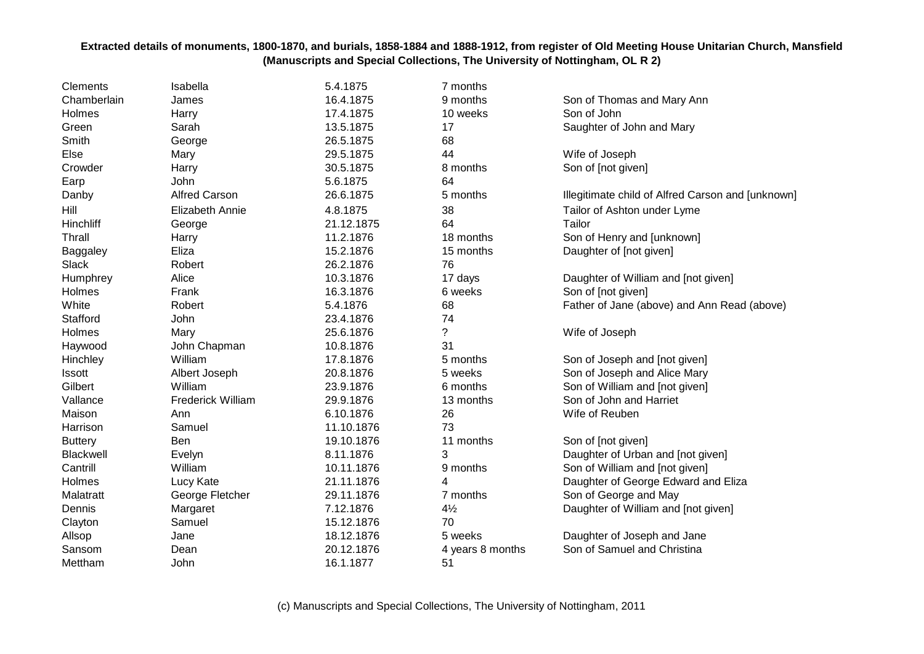| Clements       | Isabella                 | 5.4.1875   | 7 months         |                                                   |
|----------------|--------------------------|------------|------------------|---------------------------------------------------|
| Chamberlain    | James                    | 16.4.1875  | 9 months         | Son of Thomas and Mary Ann                        |
| Holmes         | Harry                    | 17.4.1875  | 10 weeks         | Son of John                                       |
| Green          | Sarah                    | 13.5.1875  | 17               | Saughter of John and Mary                         |
| Smith          | George                   | 26.5.1875  | 68               |                                                   |
| Else           | Mary                     | 29.5.1875  | 44               | Wife of Joseph                                    |
| Crowder        | Harry                    | 30.5.1875  | 8 months         | Son of [not given]                                |
| Earp           | John                     | 5.6.1875   | 64               |                                                   |
| Danby          | <b>Alfred Carson</b>     | 26.6.1875  | 5 months         | Illegitimate child of Alfred Carson and [unknown] |
| Hill           | <b>Elizabeth Annie</b>   | 4.8.1875   | 38               | Tailor of Ashton under Lyme                       |
| Hinchliff      | George                   | 21.12.1875 | 64               | Tailor                                            |
| <b>Thrall</b>  | Harry                    | 11.2.1876  | 18 months        | Son of Henry and [unknown]                        |
| Baggaley       | Eliza                    | 15.2.1876  | 15 months        | Daughter of [not given]                           |
| Slack          | Robert                   | 26.2.1876  | 76               |                                                   |
| Humphrey       | Alice                    | 10.3.1876  | 17 days          | Daughter of William and [not given]               |
| Holmes         | Frank                    | 16.3.1876  | 6 weeks          | Son of [not given]                                |
| White          | Robert                   | 5.4.1876   | 68               | Father of Jane (above) and Ann Read (above)       |
| Stafford       | John                     | 23.4.1876  | 74               |                                                   |
| Holmes         | Mary                     | 25.6.1876  | $\overline{?}$   | Wife of Joseph                                    |
| Haywood        | John Chapman             | 10.8.1876  | 31               |                                                   |
| Hinchley       | William                  | 17.8.1876  | 5 months         | Son of Joseph and [not given]                     |
| Issott         | Albert Joseph            | 20.8.1876  | 5 weeks          | Son of Joseph and Alice Mary                      |
| Gilbert        | William                  | 23.9.1876  | 6 months         | Son of William and [not given]                    |
| Vallance       | <b>Frederick William</b> | 29.9.1876  | 13 months        | Son of John and Harriet                           |
| Maison         | Ann                      | 6.10.1876  | 26               | Wife of Reuben                                    |
| Harrison       | Samuel                   | 11.10.1876 | 73               |                                                   |
| <b>Buttery</b> | Ben                      | 19.10.1876 | 11 months        | Son of [not given]                                |
| Blackwell      | Evelyn                   | 8.11.1876  | 3                | Daughter of Urban and [not given]                 |
| Cantrill       | William                  | 10.11.1876 | 9 months         | Son of William and [not given]                    |
| Holmes         | Lucy Kate                | 21.11.1876 | 4                | Daughter of George Edward and Eliza               |
| Malatratt      | George Fletcher          | 29.11.1876 | 7 months         | Son of George and May                             |
| Dennis         | Margaret                 | 7.12.1876  | $4\frac{1}{2}$   | Daughter of William and [not given]               |
| Clayton        | Samuel                   | 15.12.1876 | 70               |                                                   |
| Allsop         | Jane                     | 18.12.1876 | 5 weeks          | Daughter of Joseph and Jane                       |
| Sansom         | Dean                     | 20.12.1876 | 4 years 8 months | Son of Samuel and Christina                       |
| Mettham        | John                     | 16.1.1877  | 51               |                                                   |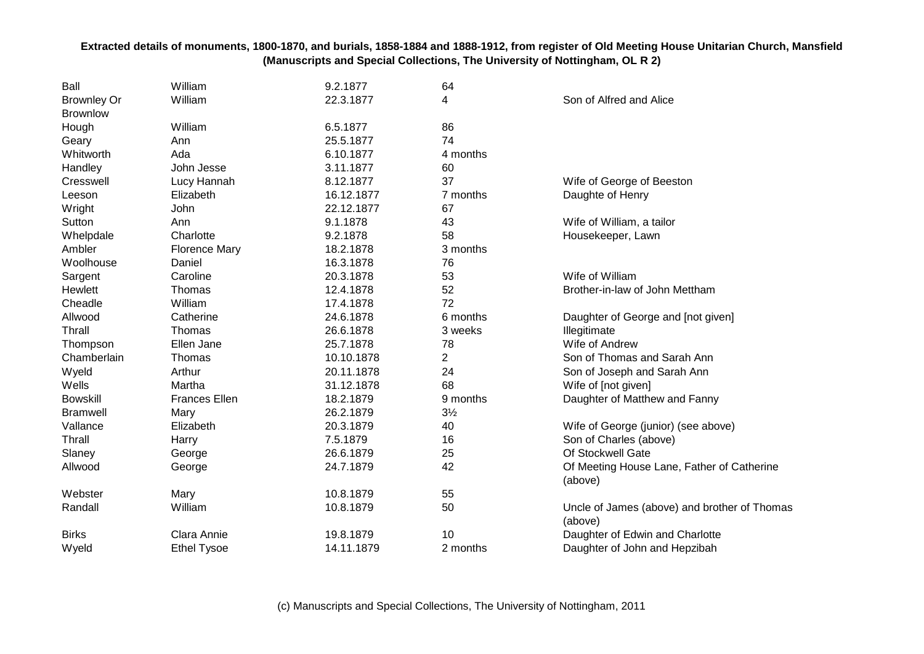| Ball               | William              | 9.2.1877   | 64             |                                              |
|--------------------|----------------------|------------|----------------|----------------------------------------------|
| <b>Brownley Or</b> | William              | 22.3.1877  | 4              | Son of Alfred and Alice                      |
| <b>Brownlow</b>    |                      |            |                |                                              |
| Hough              | William              | 6.5.1877   | 86             |                                              |
| Geary              | Ann                  | 25.5.1877  | 74             |                                              |
| Whitworth          | Ada                  | 6.10.1877  | 4 months       |                                              |
| Handley            | John Jesse           | 3.11.1877  | 60             |                                              |
| Cresswell          | Lucy Hannah          | 8.12.1877  | 37             | Wife of George of Beeston                    |
| Leeson             | Elizabeth            | 16.12.1877 | 7 months       | Daughte of Henry                             |
| Wright             | John                 | 22.12.1877 | 67             |                                              |
| Sutton             | Ann                  | 9.1.1878   | 43             | Wife of William, a tailor                    |
| Whelpdale          | Charlotte            | 9.2.1878   | 58             | Housekeeper, Lawn                            |
| Ambler             | <b>Florence Mary</b> | 18.2.1878  | 3 months       |                                              |
| Woolhouse          | Daniel               | 16.3.1878  | 76             |                                              |
| Sargent            | Caroline             | 20.3.1878  | 53             | Wife of William                              |
| Hewlett            | Thomas               | 12.4.1878  | 52             | Brother-in-law of John Mettham               |
| Cheadle            | William              | 17.4.1878  | 72             |                                              |
| Allwood            | Catherine            | 24.6.1878  | 6 months       | Daughter of George and [not given]           |
| Thrall             | Thomas               | 26.6.1878  | 3 weeks        | Illegitimate                                 |
| Thompson           | Ellen Jane           | 25.7.1878  | 78             | Wife of Andrew                               |
| Chamberlain        | Thomas               | 10.10.1878 | $\overline{c}$ | Son of Thomas and Sarah Ann                  |
| Wyeld              | Arthur               | 20.11.1878 | 24             | Son of Joseph and Sarah Ann                  |
| Wells              | Martha               | 31.12.1878 | 68             | Wife of [not given]                          |
| <b>Bowskill</b>    | <b>Frances Ellen</b> | 18.2.1879  | 9 months       | Daughter of Matthew and Fanny                |
| <b>Bramwell</b>    | Mary                 | 26.2.1879  | $3\frac{1}{2}$ |                                              |
| Vallance           | Elizabeth            | 20.3.1879  | 40             | Wife of George (junior) (see above)          |
| Thrall             | Harry                | 7.5.1879   | 16             | Son of Charles (above)                       |
| Slaney             | George               | 26.6.1879  | 25             | Of Stockwell Gate                            |
| Allwood            | George               | 24.7.1879  | 42             | Of Meeting House Lane, Father of Catherine   |
|                    |                      |            |                | (above)                                      |
| Webster            | Mary                 | 10.8.1879  | 55             |                                              |
| Randall            | William              | 10.8.1879  | 50             | Uncle of James (above) and brother of Thomas |
|                    |                      |            |                | (above)                                      |
| <b>Birks</b>       | Clara Annie          | 19.8.1879  | 10             | Daughter of Edwin and Charlotte              |
| Wyeld              | <b>Ethel Tysoe</b>   | 14.11.1879 | 2 months       | Daughter of John and Hepzibah                |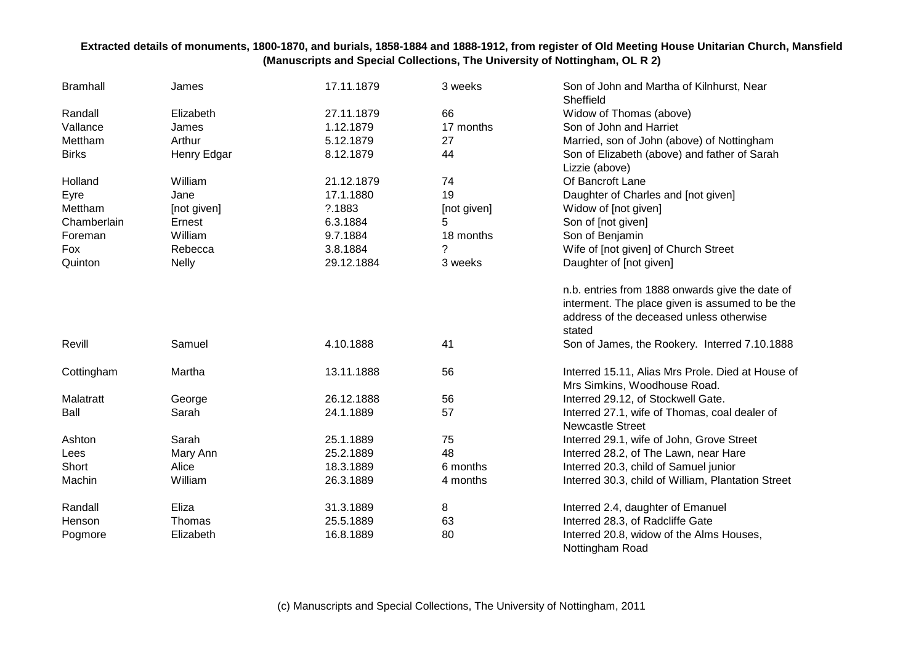| <b>Bramhall</b> | James        | 17.11.1879 | 3 weeks     | Son of John and Martha of Kilnhurst, Near<br>Sheffield                            |
|-----------------|--------------|------------|-------------|-----------------------------------------------------------------------------------|
| Randall         | Elizabeth    | 27.11.1879 | 66          | Widow of Thomas (above)                                                           |
| Vallance        | James        | 1.12.1879  | 17 months   | Son of John and Harriet                                                           |
| Mettham         | Arthur       | 5.12.1879  | 27          | Married, son of John (above) of Nottingham                                        |
| <b>Birks</b>    | Henry Edgar  | 8.12.1879  | 44          | Son of Elizabeth (above) and father of Sarah                                      |
|                 |              |            |             | Lizzie (above)                                                                    |
| Holland         | William      | 21.12.1879 | 74          | Of Bancroft Lane                                                                  |
| Eyre            | Jane         | 17.1.1880  | 19          | Daughter of Charles and [not given]                                               |
| Mettham         | [not given]  | ?.1883     | [not given] | Widow of [not given]                                                              |
| Chamberlain     | Ernest       | 6.3.1884   | 5           | Son of [not given]                                                                |
| Foreman         | William      | 9.7.1884   | 18 months   | Son of Benjamin                                                                   |
| Fox             | Rebecca      | 3.8.1884   | 7           | Wife of [not given] of Church Street                                              |
| Quinton         | <b>Nelly</b> | 29.12.1884 | 3 weeks     | Daughter of [not given]                                                           |
|                 |              |            |             | n.b. entries from 1888 onwards give the date of                                   |
|                 |              |            |             | interment. The place given is assumed to be the                                   |
|                 |              |            |             | address of the deceased unless otherwise<br>stated                                |
| Revill          | Samuel       | 4.10.1888  | 41          | Son of James, the Rookery. Interred 7.10.1888                                     |
| Cottingham      | Martha       | 13.11.1888 | 56          | Interred 15.11, Alias Mrs Prole. Died at House of<br>Mrs Simkins, Woodhouse Road. |
| Malatratt       | George       | 26.12.1888 | 56          | Interred 29.12, of Stockwell Gate.                                                |
| Ball            | Sarah        | 24.1.1889  | 57          | Interred 27.1, wife of Thomas, coal dealer of                                     |
|                 |              |            |             | <b>Newcastle Street</b>                                                           |
| Ashton          | Sarah        | 25.1.1889  | 75          | Interred 29.1, wife of John, Grove Street                                         |
| Lees            | Mary Ann     | 25.2.1889  | 48          | Interred 28.2, of The Lawn, near Hare                                             |
| Short           | Alice        | 18.3.1889  | 6 months    | Interred 20.3, child of Samuel junior                                             |
| Machin          | William      | 26.3.1889  | 4 months    | Interred 30.3, child of William, Plantation Street                                |
| Randall         | Eliza        | 31.3.1889  | 8           | Interred 2.4, daughter of Emanuel                                                 |
| Henson          | Thomas       | 25.5.1889  | 63          | Interred 28.3, of Radcliffe Gate                                                  |
| Pogmore         | Elizabeth    | 16.8.1889  | 80          | Interred 20.8, widow of the Alms Houses,<br>Nottingham Road                       |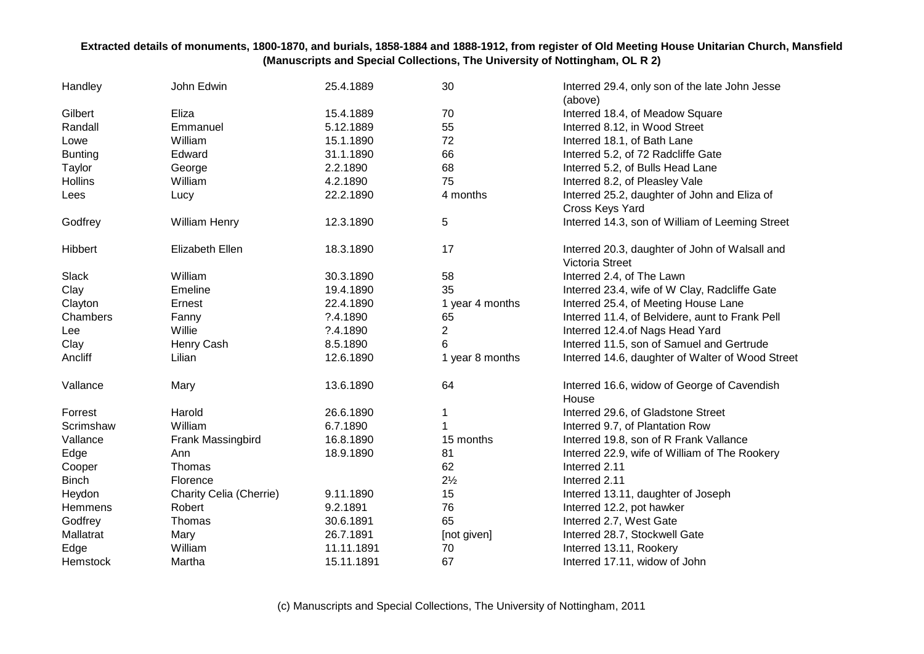| Handley        | John Edwin              | 25.4.1889  | 30              | Interred 29.4, only son of the late John Jesse<br>(above)                |
|----------------|-------------------------|------------|-----------------|--------------------------------------------------------------------------|
| Gilbert        | Eliza                   | 15.4.1889  | 70              | Interred 18.4, of Meadow Square                                          |
| Randall        | Emmanuel                | 5.12.1889  | 55              | Interred 8.12, in Wood Street                                            |
| Lowe           | William                 | 15.1.1890  | 72              | Interred 18.1, of Bath Lane                                              |
| <b>Bunting</b> | Edward                  | 31.1.1890  | 66              | Interred 5.2, of 72 Radcliffe Gate                                       |
| Taylor         | George                  | 2.2.1890   | 68              | Interred 5.2, of Bulls Head Lane                                         |
| Hollins        | William                 | 4.2.1890   | 75              | Interred 8.2, of Pleasley Vale                                           |
| Lees           | Lucy                    | 22.2.1890  | 4 months        | Interred 25.2, daughter of John and Eliza of                             |
|                |                         |            |                 | Cross Keys Yard                                                          |
| Godfrey        | William Henry           | 12.3.1890  | 5               | Interred 14.3, son of William of Leeming Street                          |
| Hibbert        | Elizabeth Ellen         | 18.3.1890  | 17              | Interred 20.3, daughter of John of Walsall and<br><b>Victoria Street</b> |
| Slack          | William                 | 30.3.1890  | 58              | Interred 2.4, of The Lawn                                                |
| Clay           | Emeline                 | 19.4.1890  | 35              | Interred 23.4, wife of W Clay, Radcliffe Gate                            |
| Clayton        | Ernest                  | 22.4.1890  | 1 year 4 months | Interred 25.4, of Meeting House Lane                                     |
| Chambers       | Fanny                   | ?.4.1890   | 65              | Interred 11.4, of Belvidere, aunt to Frank Pell                          |
| Lee            | Willie                  | ?.4.1890   | $\overline{2}$  | Interred 12.4.of Nags Head Yard                                          |
| Clay           | Henry Cash              | 8.5.1890   | 6               | Interred 11.5, son of Samuel and Gertrude                                |
| Ancliff        | Lilian                  | 12.6.1890  | 1 year 8 months | Interred 14.6, daughter of Walter of Wood Street                         |
| Vallance       | Mary                    | 13.6.1890  | 64              | Interred 16.6, widow of George of Cavendish<br>House                     |
| Forrest        | Harold                  | 26.6.1890  | 1               | Interred 29.6, of Gladstone Street                                       |
| Scrimshaw      | William                 | 6.7.1890   |                 | Interred 9.7, of Plantation Row                                          |
| Vallance       | Frank Massingbird       | 16.8.1890  | 15 months       | Interred 19.8, son of R Frank Vallance                                   |
| Edge           | Ann                     | 18.9.1890  | 81              | Interred 22.9, wife of William of The Rookery                            |
| Cooper         | Thomas                  |            | 62              | Interred 2.11                                                            |
| <b>Binch</b>   | Florence                |            | $2\frac{1}{2}$  | Interred 2.11                                                            |
| Heydon         | Charity Celia (Cherrie) | 9.11.1890  | 15              | Interred 13.11, daughter of Joseph                                       |
| Hemmens        | Robert                  | 9.2.1891   | 76              | Interred 12.2, pot hawker                                                |
| Godfrey        | Thomas                  | 30.6.1891  | 65              | Interred 2.7, West Gate                                                  |
| Mallatrat      | Mary                    | 26.7.1891  | [not given]     | Interred 28.7, Stockwell Gate                                            |
| Edge           | William                 | 11.11.1891 | 70              | Interred 13.11, Rookery                                                  |
| Hemstock       | Martha                  | 15.11.1891 | 67              | Interred 17.11, widow of John                                            |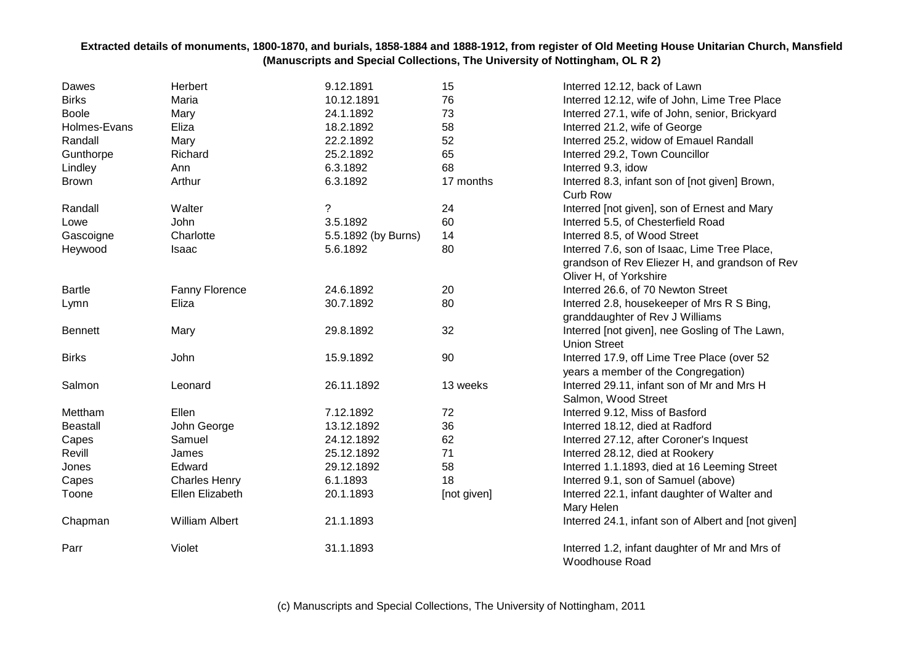| Dawes           | Herbert               | 9.12.1891           | 15          | Interred 12.12, back of Lawn                                                                   |
|-----------------|-----------------------|---------------------|-------------|------------------------------------------------------------------------------------------------|
| <b>Birks</b>    | Maria                 | 10.12.1891          | 76          | Interred 12.12, wife of John, Lime Tree Place                                                  |
| <b>Boole</b>    | Mary                  | 24.1.1892           | 73          | Interred 27.1, wife of John, senior, Brickyard                                                 |
| Holmes-Evans    | Eliza                 | 18.2.1892           | 58          | Interred 21.2, wife of George                                                                  |
| Randall         | Mary                  | 22.2.1892           | 52          | Interred 25.2, widow of Emauel Randall                                                         |
| Gunthorpe       | Richard               | 25.2.1892           | 65          | Interred 29.2, Town Councillor                                                                 |
| Lindley         | Ann                   | 6.3.1892            | 68          | Interred 9.3, idow                                                                             |
| <b>Brown</b>    | Arthur                | 6.3.1892            | 17 months   | Interred 8.3, infant son of [not given] Brown,<br><b>Curb Row</b>                              |
| Randall         | Walter                | ?                   | 24          | Interred [not given], son of Ernest and Mary                                                   |
| Lowe            | John                  | 3.5.1892            | 60          | Interred 5.5, of Chesterfield Road                                                             |
| Gascoigne       | Charlotte             | 5.5.1892 (by Burns) | 14          | Interred 8.5, of Wood Street                                                                   |
| Heywood         | Isaac                 | 5.6.1892            | 80          | Interred 7.6, son of Isaac, Lime Tree Place,<br>grandson of Rev Eliezer H, and grandson of Rev |
|                 |                       |                     |             | Oliver H, of Yorkshire                                                                         |
| <b>Bartle</b>   | <b>Fanny Florence</b> | 24.6.1892           | 20          | Interred 26.6, of 70 Newton Street                                                             |
| Lymn            | Eliza                 | 30.7.1892           | 80          | Interred 2.8, housekeeper of Mrs R S Bing,<br>granddaughter of Rev J Williams                  |
| <b>Bennett</b>  | Mary                  | 29.8.1892           | 32          | Interred [not given], nee Gosling of The Lawn,<br><b>Union Street</b>                          |
| <b>Birks</b>    | John                  | 15.9.1892           | 90          | Interred 17.9, off Lime Tree Place (over 52<br>years a member of the Congregation)             |
| Salmon          | Leonard               | 26.11.1892          | 13 weeks    | Interred 29.11, infant son of Mr and Mrs H<br>Salmon, Wood Street                              |
| Mettham         | Ellen                 | 7.12.1892           | 72          | Interred 9.12, Miss of Basford                                                                 |
| <b>Beastall</b> | John George           | 13.12.1892          | 36          | Interred 18.12, died at Radford                                                                |
| Capes           | Samuel                | 24.12.1892          | 62          | Interred 27.12, after Coroner's Inquest                                                        |
| Revill          | James                 | 25.12.1892          | 71          | Interred 28.12, died at Rookery                                                                |
| Jones           | Edward                | 29.12.1892          | 58          | Interred 1.1.1893, died at 16 Leeming Street                                                   |
| Capes           | <b>Charles Henry</b>  | 6.1.1893            | 18          | Interred 9.1, son of Samuel (above)                                                            |
| Toone           | Ellen Elizabeth       | 20.1.1893           | [not given] | Interred 22.1, infant daughter of Walter and<br>Mary Helen                                     |
| Chapman         | <b>William Albert</b> | 21.1.1893           |             | Interred 24.1, infant son of Albert and [not given]                                            |
| Parr            | Violet                | 31.1.1893           |             | Interred 1.2, infant daughter of Mr and Mrs of<br>Woodhouse Road                               |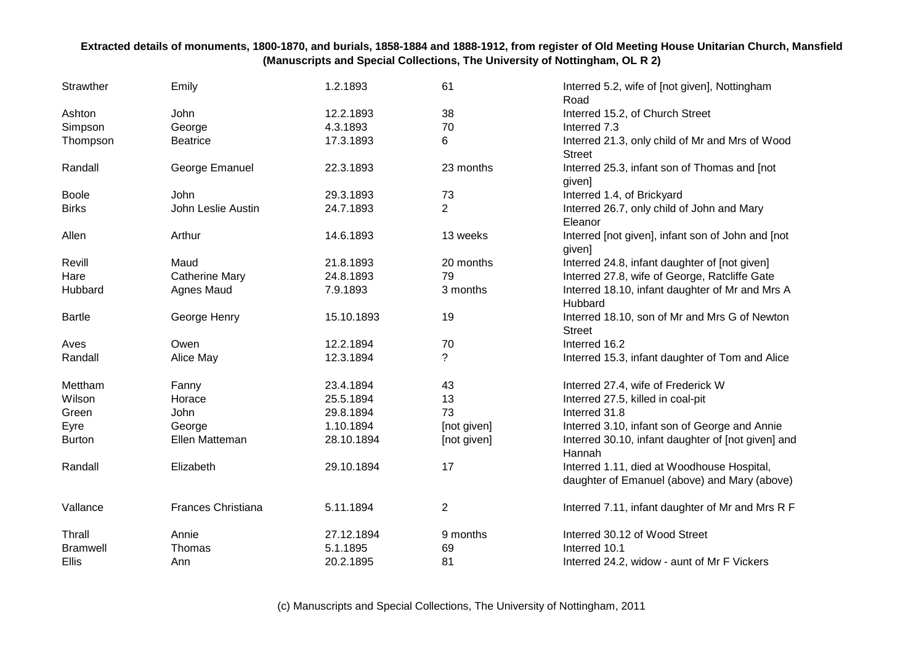| Strawther       | Emily                     | 1.2.1893   | 61             | Interred 5.2, wife of [not given], Nottingham<br>Road                                      |
|-----------------|---------------------------|------------|----------------|--------------------------------------------------------------------------------------------|
| Ashton          | John                      | 12.2.1893  | 38             | Interred 15.2, of Church Street                                                            |
| Simpson         | George                    | 4.3.1893   | 70             | Interred 7.3                                                                               |
| Thompson        | <b>Beatrice</b>           | 17.3.1893  | 6              | Interred 21.3, only child of Mr and Mrs of Wood<br><b>Street</b>                           |
| Randall         | George Emanuel            | 22.3.1893  | 23 months      | Interred 25.3, infant son of Thomas and [not<br>given]                                     |
| <b>Boole</b>    | John                      | 29.3.1893  | 73             | Interred 1.4, of Brickyard                                                                 |
| <b>Birks</b>    | John Leslie Austin        | 24.7.1893  | $\overline{2}$ | Interred 26.7, only child of John and Mary<br>Eleanor                                      |
| Allen           | Arthur                    | 14.6.1893  | 13 weeks       | Interred [not given], infant son of John and [not<br>given]                                |
| Revill          | Maud                      | 21.8.1893  | 20 months      | Interred 24.8, infant daughter of [not given]                                              |
| Hare            | <b>Catherine Mary</b>     | 24.8.1893  | 79             | Interred 27.8, wife of George, Ratcliffe Gate                                              |
| Hubbard         | Agnes Maud                | 7.9.1893   | 3 months       | Interred 18.10, infant daughter of Mr and Mrs A<br>Hubbard                                 |
| <b>Bartle</b>   | George Henry              | 15.10.1893 | 19             | Interred 18.10, son of Mr and Mrs G of Newton<br><b>Street</b>                             |
| Aves            | Owen                      | 12.2.1894  | 70             | Interred 16.2                                                                              |
| Randall         | Alice May                 | 12.3.1894  | ?              | Interred 15.3, infant daughter of Tom and Alice                                            |
| Mettham         | Fanny                     | 23.4.1894  | 43             | Interred 27.4, wife of Frederick W                                                         |
| Wilson          | Horace                    | 25.5.1894  | 13             | Interred 27.5, killed in coal-pit                                                          |
| Green           | John                      | 29.8.1894  | 73             | Interred 31.8                                                                              |
| Eyre            | George                    | 1.10.1894  | [not given]    | Interred 3.10, infant son of George and Annie                                              |
| <b>Burton</b>   | Ellen Matteman            | 28.10.1894 | [not given]    | Interred 30.10, infant daughter of [not given] and<br>Hannah                               |
| Randall         | Elizabeth                 | 29.10.1894 | 17             | Interred 1.11, died at Woodhouse Hospital,<br>daughter of Emanuel (above) and Mary (above) |
| Vallance        | <b>Frances Christiana</b> | 5.11.1894  | $\overline{2}$ | Interred 7.11, infant daughter of Mr and Mrs R F                                           |
| Thrall          | Annie                     | 27.12.1894 | 9 months       | Interred 30.12 of Wood Street                                                              |
| <b>Bramwell</b> | Thomas                    | 5.1.1895   | 69             | Interred 10.1                                                                              |
| <b>Ellis</b>    | Ann                       | 20.2.1895  | 81             | Interred 24.2, widow - aunt of Mr F Vickers                                                |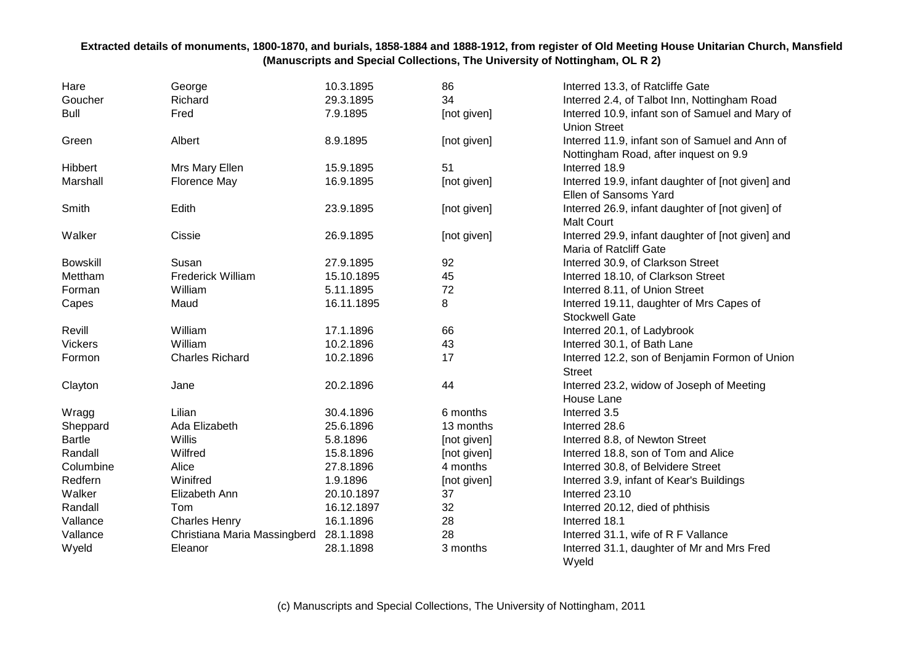| Hare            | George                       | 10.3.1895  | 86          | Interred 13.3, of Ratcliffe Gate                    |
|-----------------|------------------------------|------------|-------------|-----------------------------------------------------|
| Goucher         | Richard                      | 29.3.1895  | 34          | Interred 2.4, of Talbot Inn, Nottingham Road        |
| <b>Bull</b>     | Fred                         | 7.9.1895   | [not given] | Interred 10.9, infant son of Samuel and Mary of     |
|                 |                              |            |             | <b>Union Street</b>                                 |
| Green           | Albert                       | 8.9.1895   | [not given] | Interred 11.9, infant son of Samuel and Ann of      |
|                 |                              |            |             | Nottingham Road, after inquest on 9.9               |
| Hibbert         | Mrs Mary Ellen               | 15.9.1895  | 51          | Interred 18.9                                       |
| Marshall        | Florence May                 | 16.9.1895  | [not given] | Interred 19.9, infant daughter of [not given] and   |
|                 |                              |            |             | Ellen of Sansoms Yard                               |
| Smith           | Edith                        | 23.9.1895  | [not given] | Interred 26.9, infant daughter of [not given] of    |
|                 |                              |            |             | <b>Malt Court</b>                                   |
| Walker          | Cissie                       | 26.9.1895  | [not given] | Interred 29.9, infant daughter of [not given] and   |
|                 |                              |            |             | Maria of Ratcliff Gate                              |
| <b>Bowskill</b> | Susan                        | 27.9.1895  | 92          | Interred 30.9, of Clarkson Street                   |
| Mettham         | <b>Frederick William</b>     | 15.10.1895 | 45          | Interred 18.10, of Clarkson Street                  |
| Forman          | William                      | 5.11.1895  | 72          | Interred 8.11, of Union Street                      |
| Capes           | Maud                         | 16.11.1895 | 8           | Interred 19.11, daughter of Mrs Capes of            |
|                 |                              |            |             | <b>Stockwell Gate</b>                               |
| Revill          | William                      | 17.1.1896  | 66          | Interred 20.1, of Ladybrook                         |
| <b>Vickers</b>  | William                      | 10.2.1896  | 43          | Interred 30.1, of Bath Lane                         |
| Formon          | <b>Charles Richard</b>       | 10.2.1896  | 17          | Interred 12.2, son of Benjamin Formon of Union      |
|                 |                              |            |             | <b>Street</b>                                       |
| Clayton         | Jane                         | 20.2.1896  | 44          | Interred 23.2, widow of Joseph of Meeting           |
|                 |                              |            |             | House Lane                                          |
| Wragg           | Lilian                       | 30.4.1896  | 6 months    | Interred 3.5                                        |
| Sheppard        | Ada Elizabeth                | 25.6.1896  | 13 months   | Interred 28.6                                       |
| <b>Bartle</b>   | Willis                       | 5.8.1896   | [not given] | Interred 8.8, of Newton Street                      |
| Randall         | Wilfred                      | 15.8.1896  | [not given] | Interred 18.8, son of Tom and Alice                 |
| Columbine       | Alice                        | 27.8.1896  | 4 months    | Interred 30.8, of Belvidere Street                  |
| Redfern         | Winifred                     | 1.9.1896   | [not given] | Interred 3.9, infant of Kear's Buildings            |
| Walker          | Elizabeth Ann                | 20.10.1897 | 37          | Interred 23.10                                      |
| Randall         | Tom                          | 16.12.1897 | 32          | Interred 20.12, died of phthisis                    |
| Vallance        | <b>Charles Henry</b>         | 16.1.1896  | 28          | Interred 18.1                                       |
| Vallance        | Christiana Maria Massingberd | 28.1.1898  | 28          | Interred 31.1, wife of R F Vallance                 |
| Wyeld           | Eleanor                      | 28.1.1898  | 3 months    | Interred 31.1, daughter of Mr and Mrs Fred<br>Wyeld |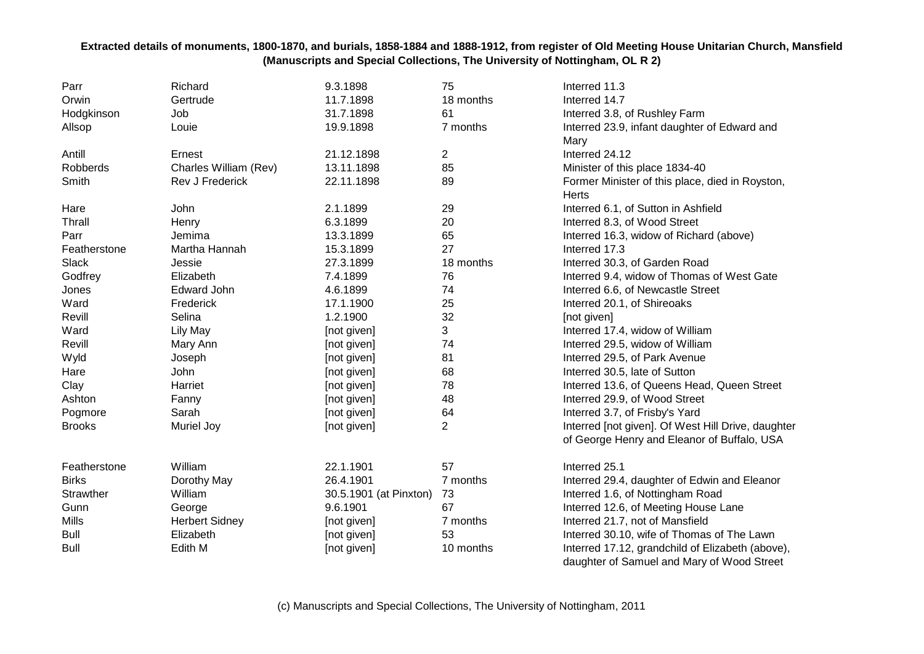| Parr          | Richard               | 9.3.1898               | 75        | Interred 11.3                                      |
|---------------|-----------------------|------------------------|-----------|----------------------------------------------------|
| Orwin         | Gertrude              | 11.7.1898              | 18 months | Interred 14.7                                      |
| Hodgkinson    | Job                   | 31.7.1898              | 61        | Interred 3.8, of Rushley Farm                      |
| Allsop        | Louie                 | 19.9.1898              | 7 months  | Interred 23.9, infant daughter of Edward and       |
|               |                       |                        |           | Mary                                               |
| Antill        | Ernest                | 21.12.1898             | 2         | Interred 24.12                                     |
| Robberds      | Charles William (Rev) | 13.11.1898             | 85        | Minister of this place 1834-40                     |
| Smith         | Rev J Frederick       | 22.11.1898             | 89        | Former Minister of this place, died in Royston,    |
|               |                       |                        |           | <b>Herts</b>                                       |
| Hare          | John                  | 2.1.1899               | 29        | Interred 6.1, of Sutton in Ashfield                |
| Thrall        | Henry                 | 6.3.1899               | 20        | Interred 8.3, of Wood Street                       |
| Parr          | Jemima                | 13.3.1899              | 65        | Interred 16.3, widow of Richard (above)            |
| Featherstone  | Martha Hannah         | 15.3.1899              | 27        | Interred 17.3                                      |
| Slack         | Jessie                | 27.3.1899              | 18 months | Interred 30.3, of Garden Road                      |
| Godfrey       | Elizabeth             | 7.4.1899               | 76        | Interred 9.4, widow of Thomas of West Gate         |
| Jones         | Edward John           | 4.6.1899               | 74        | Interred 6.6, of Newcastle Street                  |
| Ward          | Frederick             | 17.1.1900              | 25        | Interred 20.1, of Shireoaks                        |
| Revill        | Selina                | 1.2.1900               | 32        | [not given]                                        |
| Ward          | Lily May              | [not given]            | 3         | Interred 17.4, widow of William                    |
| Revill        | Mary Ann              | [not given]            | 74        | Interred 29.5, widow of William                    |
| Wyld          | Joseph                | [not given]            | 81        | Interred 29.5, of Park Avenue                      |
| Hare          | John                  | [not given]            | 68        | Interred 30.5, late of Sutton                      |
| Clay          | Harriet               | [not given]            | 78        | Interred 13.6, of Queens Head, Queen Street        |
| Ashton        | Fanny                 | [not given]            | 48        | Interred 29.9, of Wood Street                      |
| Pogmore       | Sarah                 | [not given]            | 64        | Interred 3.7, of Frisby's Yard                     |
| <b>Brooks</b> | Muriel Joy            | [not given]            | 2         | Interred [not given]. Of West Hill Drive, daughter |
|               |                       |                        |           | of George Henry and Eleanor of Buffalo, USA        |
| Featherstone  | William               | 22.1.1901              | 57        | Interred 25.1                                      |
| <b>Birks</b>  | Dorothy May           | 26.4.1901              | 7 months  | Interred 29.4, daughter of Edwin and Eleanor       |
| Strawther     | William               | 30.5.1901 (at Pinxton) | 73        | Interred 1.6, of Nottingham Road                   |
| Gunn          | George                | 9.6.1901               | 67        | Interred 12.6, of Meeting House Lane               |
| <b>Mills</b>  | <b>Herbert Sidney</b> | [not given]            | 7 months  | Interred 21.7, not of Mansfield                    |
| <b>Bull</b>   | Elizabeth             | [not given]            | 53        | Interred 30.10, wife of Thomas of The Lawn         |
| <b>Bull</b>   | Edith M               | [not given]            | 10 months | Interred 17.12, grandchild of Elizabeth (above),   |
|               |                       |                        |           | daughter of Samuel and Mary of Wood Street         |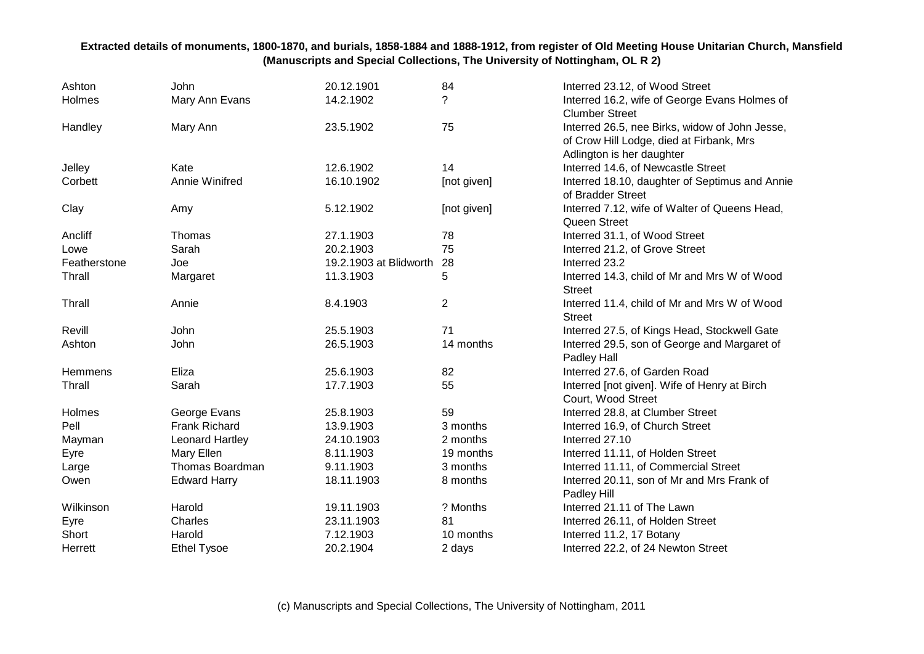| Ashton         | <b>John</b>          | 20.12.1901             | 84             | Interred 23.12, of Wood Street                                                                                          |
|----------------|----------------------|------------------------|----------------|-------------------------------------------------------------------------------------------------------------------------|
| Holmes         | Mary Ann Evans       | 14.2.1902              | ?              | Interred 16.2, wife of George Evans Holmes of<br><b>Clumber Street</b>                                                  |
| Handley        | Mary Ann             | 23.5.1902              | 75             | Interred 26.5, nee Birks, widow of John Jesse,<br>of Crow Hill Lodge, died at Firbank, Mrs<br>Adlington is her daughter |
| Jelley         | Kate                 | 12.6.1902              | 14             | Interred 14.6, of Newcastle Street                                                                                      |
| Corbett        | Annie Winifred       | 16.10.1902             | [not given]    | Interred 18.10, daughter of Septimus and Annie<br>of Bradder Street                                                     |
| Clay           | Amy                  | 5.12.1902              | [not given]    | Interred 7.12, wife of Walter of Queens Head,<br>Queen Street                                                           |
| Ancliff        | Thomas               | 27.1.1903              | 78             | Interred 31.1, of Wood Street                                                                                           |
| Lowe           | Sarah                | 20.2.1903              | 75             | Interred 21.2, of Grove Street                                                                                          |
| Featherstone   | Joe                  | 19.2.1903 at Blidworth | 28             | Interred 23.2                                                                                                           |
| Thrall         | Margaret             | 11.3.1903              | 5              | Interred 14.3, child of Mr and Mrs W of Wood<br><b>Street</b>                                                           |
| Thrall         | Annie                | 8.4.1903               | $\overline{2}$ | Interred 11.4, child of Mr and Mrs W of Wood<br><b>Street</b>                                                           |
| Revill         | <b>John</b>          | 25.5.1903              | 71             | Interred 27.5, of Kings Head, Stockwell Gate                                                                            |
| Ashton         | John                 | 26.5.1903              | 14 months      | Interred 29.5, son of George and Margaret of<br>Padley Hall                                                             |
| <b>Hemmens</b> | Eliza                | 25.6.1903              | 82             | Interred 27.6, of Garden Road                                                                                           |
| Thrall         | Sarah                | 17.7.1903              | 55             | Interred [not given]. Wife of Henry at Birch<br>Court, Wood Street                                                      |
| Holmes         | George Evans         | 25.8.1903              | 59             | Interred 28.8, at Clumber Street                                                                                        |
| Pell           | <b>Frank Richard</b> | 13.9.1903              | 3 months       | Interred 16.9, of Church Street                                                                                         |
| Mayman         | Leonard Hartley      | 24.10.1903             | 2 months       | Interred 27.10                                                                                                          |
| Eyre           | Mary Ellen           | 8.11.1903              | 19 months      | Interred 11.11, of Holden Street                                                                                        |
| Large          | Thomas Boardman      | 9.11.1903              | 3 months       | Interred 11.11, of Commercial Street                                                                                    |
| Owen           | <b>Edward Harry</b>  | 18.11.1903             | 8 months       | Interred 20.11, son of Mr and Mrs Frank of<br>Padley Hill                                                               |
| Wilkinson      | Harold               | 19.11.1903             | ? Months       | Interred 21.11 of The Lawn                                                                                              |
| Eyre           | Charles              | 23.11.1903             | 81             | Interred 26.11, of Holden Street                                                                                        |
| Short          | Harold               | 7.12.1903              | 10 months      | Interred 11.2, 17 Botany                                                                                                |
| Herrett        | <b>Ethel Tysoe</b>   | 20.2.1904              | 2 days         | Interred 22.2, of 24 Newton Street                                                                                      |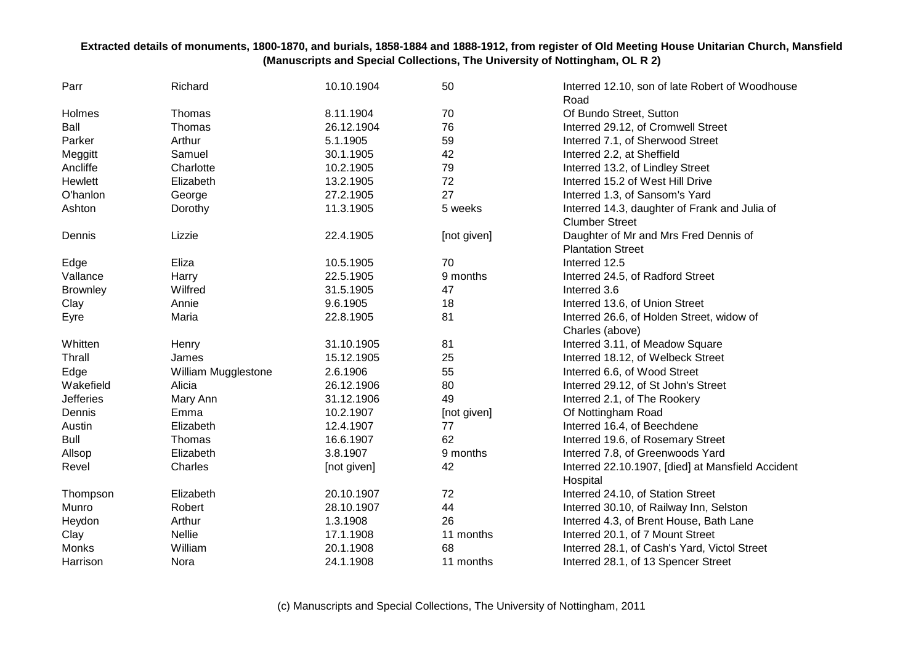| Parr             | Richard             | 10.10.1904  | 50          | Interred 12.10, son of late Robert of Woodhouse<br>Road |
|------------------|---------------------|-------------|-------------|---------------------------------------------------------|
| Holmes           | Thomas              | 8.11.1904   | 70          | Of Bundo Street, Sutton                                 |
| Ball             | Thomas              | 26.12.1904  | 76          | Interred 29.12, of Cromwell Street                      |
| Parker           | Arthur              | 5.1.1905    | 59          | Interred 7.1, of Sherwood Street                        |
| Meggitt          | Samuel              | 30.1.1905   | 42          | Interred 2.2, at Sheffield                              |
| Ancliffe         | Charlotte           | 10.2.1905   | 79          | Interred 13.2, of Lindley Street                        |
| Hewlett          | Elizabeth           | 13.2.1905   | 72          | Interred 15.2 of West Hill Drive                        |
| O'hanlon         | George              | 27.2.1905   | 27          | Interred 1.3, of Sansom's Yard                          |
| Ashton           | Dorothy             | 11.3.1905   | 5 weeks     | Interred 14.3, daughter of Frank and Julia of           |
|                  |                     |             |             | <b>Clumber Street</b>                                   |
| Dennis           | Lizzie              | 22.4.1905   | [not given] | Daughter of Mr and Mrs Fred Dennis of                   |
|                  |                     |             |             | <b>Plantation Street</b>                                |
| Edge             | Eliza               | 10.5.1905   | 70          | Interred 12.5                                           |
| Vallance         | Harry               | 22.5.1905   | 9 months    | Interred 24.5, of Radford Street                        |
| <b>Brownley</b>  | Wilfred             | 31.5.1905   | 47          | Interred 3.6                                            |
| Clay             | Annie               | 9.6.1905    | 18          | Interred 13.6, of Union Street                          |
| Eyre             | Maria               | 22.8.1905   | 81          | Interred 26.6, of Holden Street, widow of               |
|                  |                     |             |             | Charles (above)                                         |
| Whitten          | Henry               | 31.10.1905  | 81          | Interred 3.11, of Meadow Square                         |
| Thrall           | James               | 15.12.1905  | 25          | Interred 18.12, of Welbeck Street                       |
| Edge             | William Mugglestone | 2.6.1906    | 55          | Interred 6.6, of Wood Street                            |
| Wakefield        | Alicia              | 26.12.1906  | 80          | Interred 29.12, of St John's Street                     |
| <b>Jefferies</b> | Mary Ann            | 31.12.1906  | 49          | Interred 2.1, of The Rookery                            |
| Dennis           | Emma                | 10.2.1907   | [not given] | Of Nottingham Road                                      |
| Austin           | Elizabeth           | 12.4.1907   | 77          | Interred 16.4, of Beechdene                             |
| <b>Bull</b>      | Thomas              | 16.6.1907   | 62          | Interred 19.6, of Rosemary Street                       |
| Allsop           | Elizabeth           | 3.8.1907    | 9 months    | Interred 7.8, of Greenwoods Yard                        |
| Revel            | Charles             | [not given] | 42          | Interred 22.10.1907, [died] at Mansfield Accident       |
|                  |                     |             |             | Hospital                                                |
| Thompson         | Elizabeth           | 20.10.1907  | 72          | Interred 24.10, of Station Street                       |
| Munro            | Robert              | 28.10.1907  | 44          | Interred 30.10, of Railway Inn, Selston                 |
| Heydon           | Arthur              | 1.3.1908    | 26          | Interred 4.3, of Brent House, Bath Lane                 |
| Clay             | <b>Nellie</b>       | 17.1.1908   | 11 months   | Interred 20.1, of 7 Mount Street                        |
| Monks            | William             | 20.1.1908   | 68          | Interred 28.1, of Cash's Yard, Victol Street            |
| Harrison         | Nora                | 24.1.1908   | 11 months   | Interred 28.1, of 13 Spencer Street                     |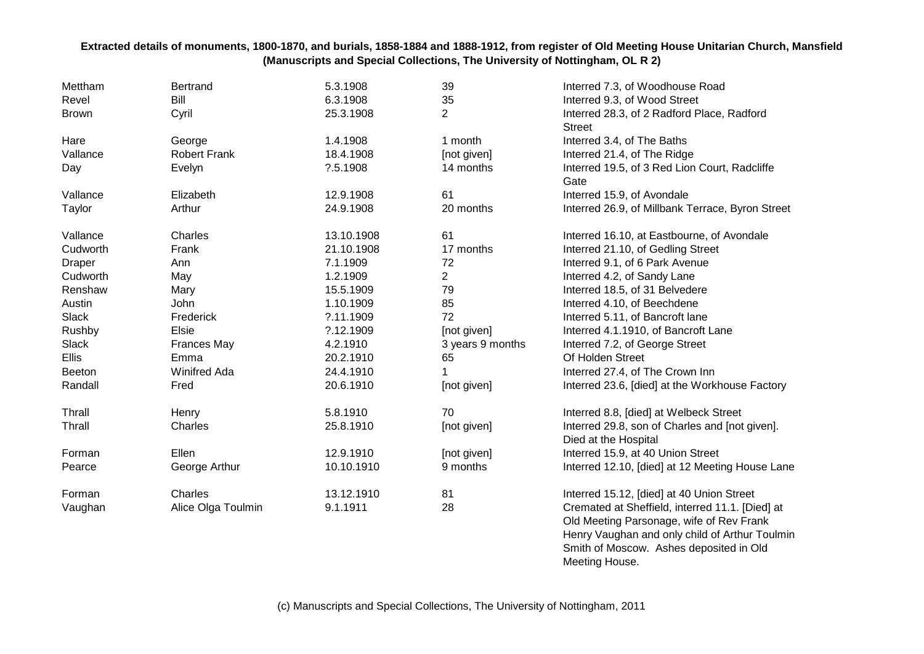| Mettham       | <b>Bertrand</b>     | 5.3.1908   | 39               | Interred 7.3, of Woodhouse Road                                                             |
|---------------|---------------------|------------|------------------|---------------------------------------------------------------------------------------------|
| Revel         | <b>Bill</b>         | 6.3.1908   | 35               | Interred 9.3, of Wood Street                                                                |
| <b>Brown</b>  | Cyril               | 25.3.1908  | $\overline{2}$   | Interred 28.3, of 2 Radford Place, Radford                                                  |
|               |                     |            |                  | <b>Street</b>                                                                               |
| Hare          | George              | 1.4.1908   | 1 month          | Interred 3.4, of The Baths                                                                  |
| Vallance      | <b>Robert Frank</b> | 18.4.1908  | [not given]      | Interred 21.4, of The Ridge                                                                 |
| Day           | Evelyn              | ?.5.1908   | 14 months        | Interred 19.5, of 3 Red Lion Court, Radcliffe                                               |
|               |                     |            |                  | Gate                                                                                        |
| Vallance      | Elizabeth           | 12.9.1908  | 61               | Interred 15.9, of Avondale                                                                  |
| Taylor        | Arthur              | 24.9.1908  | 20 months        | Interred 26.9, of Millbank Terrace, Byron Street                                            |
| Vallance      | Charles             | 13.10.1908 | 61               | Interred 16.10, at Eastbourne, of Avondale                                                  |
| Cudworth      | Frank               | 21.10.1908 | 17 months        | Interred 21.10, of Gedling Street                                                           |
| <b>Draper</b> | Ann                 | 7.1.1909   | 72               | Interred 9.1, of 6 Park Avenue                                                              |
| Cudworth      | May                 | 1.2.1909   | $\overline{2}$   | Interred 4.2, of Sandy Lane                                                                 |
| Renshaw       | Mary                | 15.5.1909  | 79               | Interred 18.5, of 31 Belvedere                                                              |
| Austin        | John                | 1.10.1909  | 85               | Interred 4.10, of Beechdene                                                                 |
| Slack         | Frederick           | ?.11.1909  | 72               | Interred 5.11, of Bancroft lane                                                             |
| Rushby        | Elsie               | ?.12.1909  | [not given]      | Interred 4.1.1910, of Bancroft Lane                                                         |
| Slack         | <b>Frances May</b>  | 4.2.1910   | 3 years 9 months | Interred 7.2, of George Street                                                              |
| Ellis         | Emma                | 20.2.1910  | 65               | Of Holden Street                                                                            |
| <b>Beeton</b> | <b>Winifred Ada</b> | 24.4.1910  |                  | Interred 27.4, of The Crown Inn                                                             |
| Randall       | Fred                | 20.6.1910  | [not given]      | Interred 23.6, [died] at the Workhouse Factory                                              |
| Thrall        | Henry               | 5.8.1910   | 70               | Interred 8.8, [died] at Welbeck Street                                                      |
| Thrall        | Charles             | 25.8.1910  | [not given]      | Interred 29.8, son of Charles and [not given].                                              |
|               |                     |            |                  | Died at the Hospital                                                                        |
| Forman        | Ellen               | 12.9.1910  | [not given]      | Interred 15.9, at 40 Union Street                                                           |
| Pearce        | George Arthur       | 10.10.1910 | 9 months         | Interred 12.10, [died] at 12 Meeting House Lane                                             |
| Forman        | Charles             | 13.12.1910 | 81               | Interred 15.12, [died] at 40 Union Street                                                   |
| Vaughan       | Alice Olga Toulmin  | 9.1.1911   | 28               | Cremated at Sheffield, interred 11.1. [Died] at<br>Old Meeting Parsonage, wife of Rev Frank |
|               |                     |            |                  | Henry Vaughan and only child of Arthur Toulmin                                              |
|               |                     |            |                  | Smith of Moscow. Ashes deposited in Old                                                     |

Meeting House.